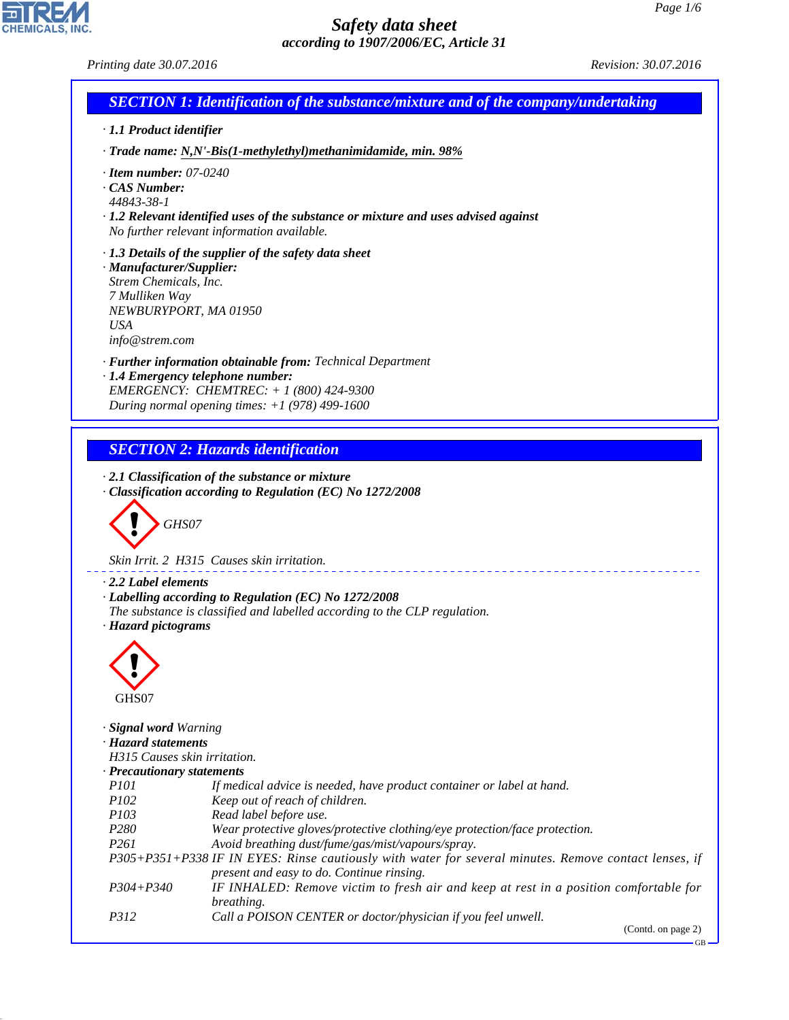

(Contd. on page 2)

GB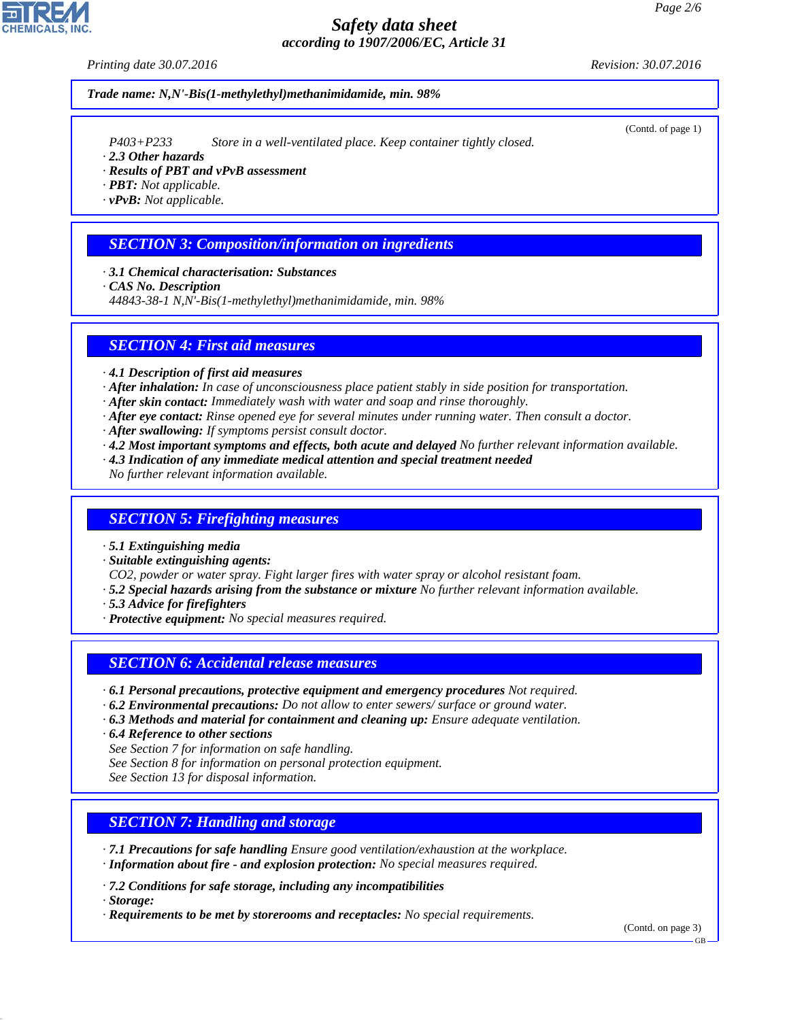*Printing date 30.07.2016 Revision: 30.07.2016*

*Trade name: N,N'-Bis(1-methylethyl)methanimidamide, min. 98%*

*P403+P233 Store in a well-ventilated place. Keep container tightly closed.*

- *· 2.3 Other hazards*
- *· Results of PBT and vPvB assessment*

*· PBT: Not applicable.*

*· vPvB: Not applicable.*

## *SECTION 3: Composition/information on ingredients*

*· 3.1 Chemical characterisation: Substances*

*· CAS No. Description*

*44843-38-1 N,N'-Bis(1-methylethyl)methanimidamide, min. 98%*

#### *SECTION 4: First aid measures*

*· 4.1 Description of first aid measures*

- *· After inhalation: In case of unconsciousness place patient stably in side position for transportation.*
- *· After skin contact: Immediately wash with water and soap and rinse thoroughly.*
- *· After eye contact: Rinse opened eye for several minutes under running water. Then consult a doctor.*
- *· After swallowing: If symptoms persist consult doctor.*
- *· 4.2 Most important symptoms and effects, both acute and delayed No further relevant information available.*
- *· 4.3 Indication of any immediate medical attention and special treatment needed*
- *No further relevant information available.*

#### *SECTION 5: Firefighting measures*

*· 5.1 Extinguishing media*

*· Suitable extinguishing agents:*

*CO2, powder or water spray. Fight larger fires with water spray or alcohol resistant foam.*

- *· 5.2 Special hazards arising from the substance or mixture No further relevant information available.*
- *· 5.3 Advice for firefighters*
- *· Protective equipment: No special measures required.*

### *SECTION 6: Accidental release measures*

- *· 6.1 Personal precautions, protective equipment and emergency procedures Not required.*
- *· 6.2 Environmental precautions: Do not allow to enter sewers/ surface or ground water.*
- *· 6.3 Methods and material for containment and cleaning up: Ensure adequate ventilation.*
- *· 6.4 Reference to other sections*

*See Section 7 for information on safe handling.*

*See Section 8 for information on personal protection equipment.*

*See Section 13 for disposal information.*

### *SECTION 7: Handling and storage*

*· 7.1 Precautions for safe handling Ensure good ventilation/exhaustion at the workplace. · Information about fire - and explosion protection: No special measures required.*

*· 7.2 Conditions for safe storage, including any incompatibilities*

*· Storage:*

*· Requirements to be met by storerooms and receptacles: No special requirements.*

(Contd. on page 3)

(Contd. of page 1)

GB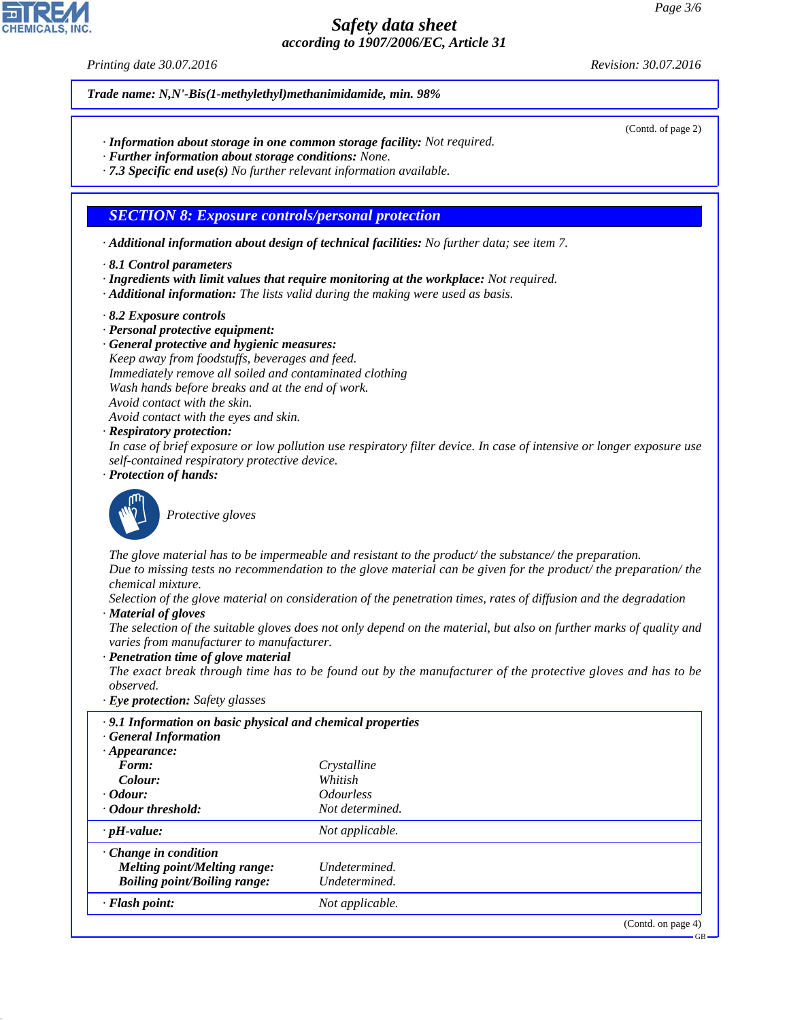*Printing date 30.07.2016 Revision: 30.07.2016*

(Contd. of page 2)

*Trade name: N,N'-Bis(1-methylethyl)methanimidamide, min. 98%*

- *· Information about storage in one common storage facility: Not required.*
- *· Further information about storage conditions: None.*
- *· 7.3 Specific end use(s) No further relevant information available.*

#### *SECTION 8: Exposure controls/personal protection*

*· Additional information about design of technical facilities: No further data; see item 7.*

- *· 8.1 Control parameters*
- *· Ingredients with limit values that require monitoring at the workplace: Not required.*
- *· Additional information: The lists valid during the making were used as basis.*
- *· 8.2 Exposure controls*
- *· Personal protective equipment:*
- *· General protective and hygienic measures: Keep away from foodstuffs, beverages and feed. Immediately remove all soiled and contaminated clothing Wash hands before breaks and at the end of work. Avoid contact with the skin.*
- *Avoid contact with the eyes and skin.*
- *· Respiratory protection:*
- *In case of brief exposure or low pollution use respiratory filter device. In case of intensive or longer exposure use self-contained respiratory protective device.*
- *· Protection of hands:*



\_S*Protective gloves*

*The glove material has to be impermeable and resistant to the product/ the substance/ the preparation. Due to missing tests no recommendation to the glove material can be given for the product/ the preparation/ the chemical mixture.*

*Selection of the glove material on consideration of the penetration times, rates of diffusion and the degradation · Material of gloves*

*The selection of the suitable gloves does not only depend on the material, but also on further marks of quality and varies from manufacturer to manufacturer.*

#### *· Penetration time of glove material*

*The exact break through time has to be found out by the manufacturer of the protective gloves and has to be observed.*

*· Eye protection: Safety glasses*

| .9.1 Information on basic physical and chemical properties<br><b>General Information</b> |                                |
|------------------------------------------------------------------------------------------|--------------------------------|
| $\cdot$ Appearance:                                                                      |                                |
| Form:                                                                                    | Crystalline                    |
| Colour:                                                                                  | Whitish                        |
| $\cdot$ Odour:                                                                           | <i><u><b>Odourless</b></u></i> |
| Odour threshold:                                                                         | Not determined.                |
| $\cdot$ pH-value:                                                                        | Not applicable.                |
| $\cdot$ Change in condition                                                              |                                |
| Melting point/Melting range:                                                             | Undetermined.                  |
| <b>Boiling point/Boiling range:</b>                                                      | Undetermined.                  |
| $\cdot$ Flash point:                                                                     | Not applicable.                |
|                                                                                          | (Contd. on page 4)             |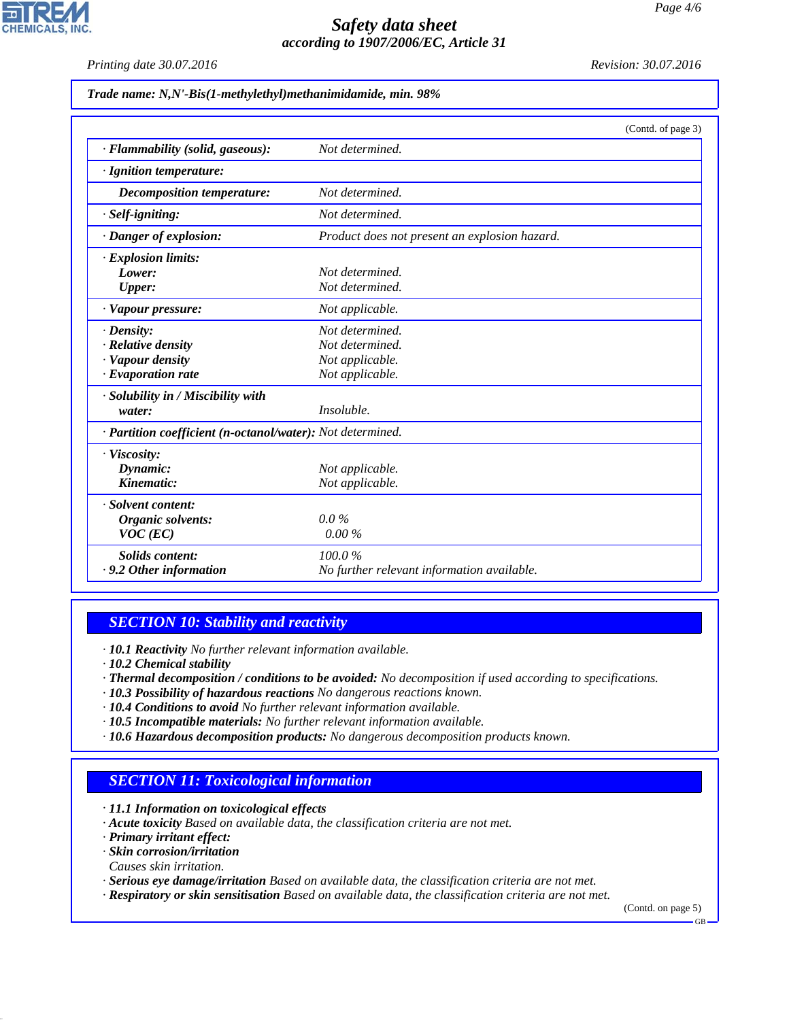*Printing date 30.07.2016 Revision: 30.07.2016*

**CHEMICALS, INC** 

*Trade name: N,N'-Bis(1-methylethyl)methanimidamide, min. 98%*

|                                                            | (Contd. of page 3)                            |  |
|------------------------------------------------------------|-----------------------------------------------|--|
| · Flammability (solid, gaseous):                           | Not determined.                               |  |
| · Ignition temperature:                                    |                                               |  |
| Decomposition temperature:                                 | Not determined.                               |  |
| · Self-igniting:                                           | Not determined.                               |  |
| · Danger of explosion:                                     | Product does not present an explosion hazard. |  |
| · Explosion limits:                                        |                                               |  |
| Lower:                                                     | Not determined.                               |  |
| Upper:                                                     | Not determined.                               |  |
| · Vapour pressure:                                         | Not applicable.                               |  |
| $\cdot$ Density:                                           | Not determined.                               |  |
| $\cdot$ Relative density                                   | Not determined.                               |  |
| · Vapour density                                           | Not applicable.                               |  |
| $\cdot$ Evaporation rate                                   | Not applicable.                               |  |
| · Solubility in / Miscibility with                         |                                               |  |
| water:                                                     | Insoluble.                                    |  |
| · Partition coefficient (n-octanol/water): Not determined. |                                               |  |
| · Viscosity:                                               |                                               |  |
| Dynamic:                                                   | Not applicable.                               |  |
| Kinematic:                                                 | Not applicable.                               |  |
| · Solvent content:                                         |                                               |  |
| Organic solvents:                                          | $0.0\%$                                       |  |
| $VOC$ (EC)                                                 | 0.00%                                         |  |
| <b>Solids content:</b>                                     | 100.0%                                        |  |
| $\cdot$ 9.2 Other information                              | No further relevant information available.    |  |

### *SECTION 10: Stability and reactivity*

*· 10.1 Reactivity No further relevant information available.*

- *· 10.2 Chemical stability*
- *· Thermal decomposition / conditions to be avoided: No decomposition if used according to specifications.*
- *· 10.3 Possibility of hazardous reactions No dangerous reactions known.*
- *· 10.4 Conditions to avoid No further relevant information available.*
- *· 10.5 Incompatible materials: No further relevant information available.*
- *· 10.6 Hazardous decomposition products: No dangerous decomposition products known.*

### *SECTION 11: Toxicological information*

*· 11.1 Information on toxicological effects*

- *· Acute toxicity Based on available data, the classification criteria are not met.*
- *· Primary irritant effect:*
- *· Skin corrosion/irritation*
- *Causes skin irritation.*
- *· Serious eye damage/irritation Based on available data, the classification criteria are not met.*
- *· Respiratory or skin sensitisation Based on available data, the classification criteria are not met.*

(Contd. on page 5)

GB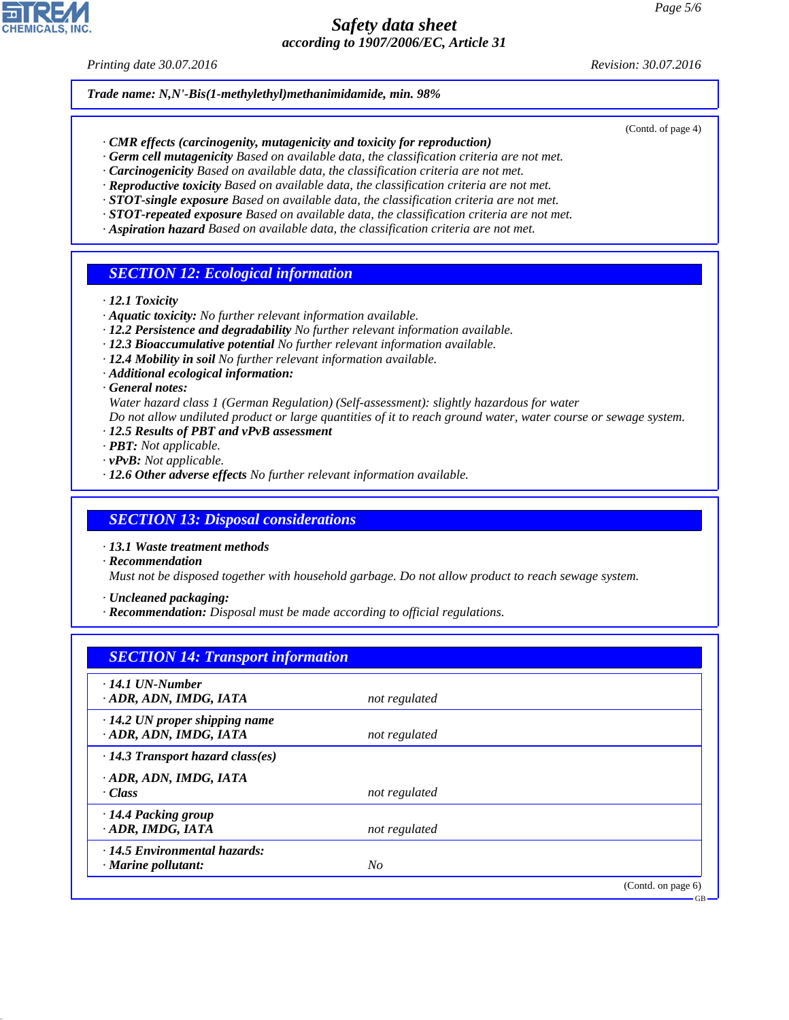#### *Printing date 30.07.2016 Revision: 30.07.2016*

(Contd. of page 4)

GB

*Trade name: N,N'-Bis(1-methylethyl)methanimidamide, min. 98%*

- *· CMR effects (carcinogenity, mutagenicity and toxicity for reproduction)*
- *· Germ cell mutagenicity Based on available data, the classification criteria are not met.*
- *· Carcinogenicity Based on available data, the classification criteria are not met.*
- *· Reproductive toxicity Based on available data, the classification criteria are not met.*
- *· STOT-single exposure Based on available data, the classification criteria are not met.*
- *· STOT-repeated exposure Based on available data, the classification criteria are not met. · Aspiration hazard Based on available data, the classification criteria are not met.*
- 

#### *SECTION 12: Ecological information*

- *· 12.1 Toxicity*
- *· Aquatic toxicity: No further relevant information available.*
- *· 12.2 Persistence and degradability No further relevant information available.*
- *· 12.3 Bioaccumulative potential No further relevant information available.*
- *· 12.4 Mobility in soil No further relevant information available.*
- *· Additional ecological information:*
- *· General notes:*
- *Water hazard class 1 (German Regulation) (Self-assessment): slightly hazardous for water*
- *Do not allow undiluted product or large quantities of it to reach ground water, water course or sewage system.*
- *· 12.5 Results of PBT and vPvB assessment*
- *· PBT: Not applicable.*
- *· vPvB: Not applicable.*
- *· 12.6 Other adverse effects No further relevant information available.*

#### *SECTION 13: Disposal considerations*

- *· 13.1 Waste treatment methods*
- *· Recommendation*

*Must not be disposed together with household garbage. Do not allow product to reach sewage system.*

*· Uncleaned packaging:*

*· Recommendation: Disposal must be made according to official regulations.*

| $\cdot$ 14.1 UN-Number                                         |               |  |
|----------------------------------------------------------------|---------------|--|
| ADR, ADN, IMDG, IATA                                           | not regulated |  |
| $\cdot$ 14.2 UN proper shipping name<br>· ADR, ADN, IMDG, IATA | not regulated |  |
| $\cdot$ 14.3 Transport hazard class(es)                        |               |  |
| ADR, ADN, IMDG, IATA                                           |               |  |
| · Class                                                        | not regulated |  |
| · 14.4 Packing group                                           |               |  |
| · ADR, IMDG, IATA                                              | not regulated |  |
| $\cdot$ 14.5 Environmental hazards:                            |               |  |
| $\cdot$ Marine pollutant:                                      | $N_{O}$       |  |